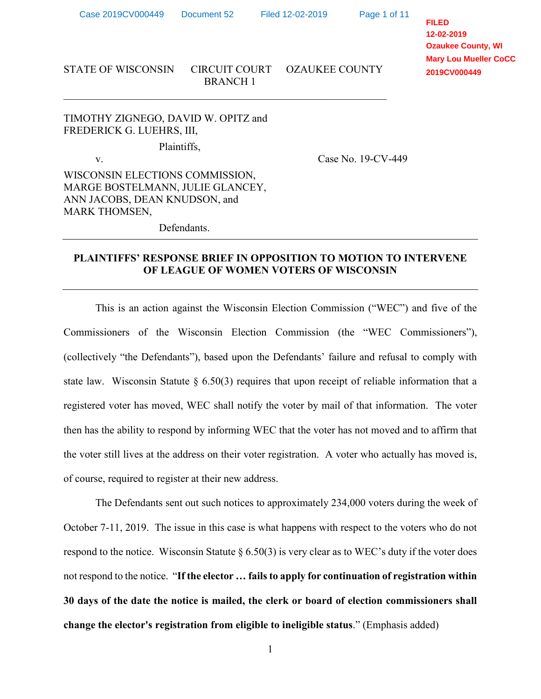\_\_\_\_\_\_\_\_\_\_\_\_\_\_\_\_\_\_\_\_\_\_\_\_\_\_\_\_\_\_\_\_\_\_\_\_\_\_\_\_\_\_\_\_\_\_\_\_\_\_\_\_\_\_\_\_\_\_\_\_\_

Page 1 of 11

**FILED 12-02-2019 Ozaukee County, WI Mary Lou Mueller CoCC 2019CV000449**

### STATE OF WISCONSIN CIRCUIT COURT OZAUKEE COUNTY BRANCH 1

TIMOTHY ZIGNEGO, DAVID W. OPITZ and FREDERICK G. LUEHRS, III,

Plaintiffs,

v. Case No. 19-CV-449

WISCONSIN ELECTIONS COMMISSION, MARGE BOSTELMANN, JULIE GLANCEY, ANN JACOBS, DEAN KNUDSON, and MARK THOMSEN,

Defendants.

## **PLAINTIFFS' RESPONSE BRIEF IN OPPOSITION TO MOTION TO INTERVENE OF LEAGUE OF WOMEN VOTERS OF WISCONSIN**

This is an action against the Wisconsin Election Commission ("WEC") and five of the Commissioners of the Wisconsin Election Commission (the "WEC Commissioners"), (collectively "the Defendants"), based upon the Defendants' failure and refusal to comply with state law. Wisconsin Statute  $\S 6.50(3)$  requires that upon receipt of reliable information that a registered voter has moved, WEC shall notify the voter by mail of that information. The voter then has the ability to respond by informing WEC that the voter has not moved and to affirm that the voter still lives at the address on their voter registration. A voter who actually has moved is, of course, required to register at their new address.

The Defendants sent out such notices to approximately 234,000 voters during the week of October 7-11, 2019. The issue in this case is what happens with respect to the voters who do not respond to the notice. Wisconsin Statute  $\S 6.50(3)$  is very clear as to WEC's duty if the voter does not respond to the notice. "**If the elector … fails to apply for continuation of registration within 30 days of the date the notice is mailed, the clerk or board of election commissioners shall change the elector's registration from eligible to ineligible status**." (Emphasis added)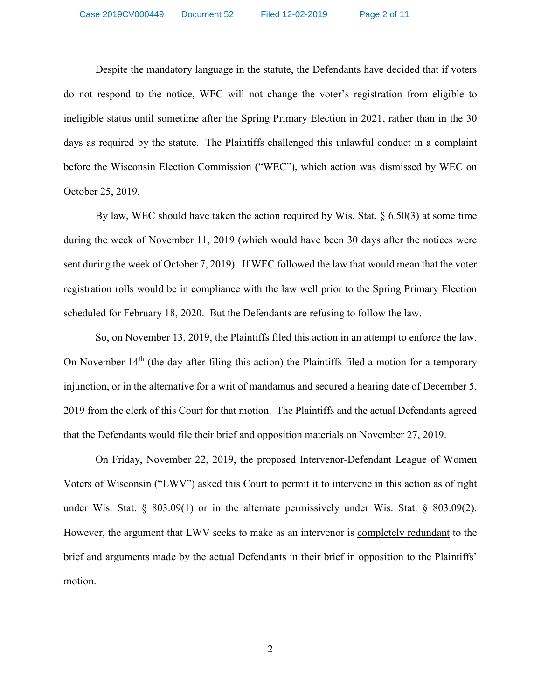Despite the mandatory language in the statute, the Defendants have decided that if voters do not respond to the notice, WEC will not change the voter's registration from eligible to ineligible status until sometime after the Spring Primary Election in 2021, rather than in the 30 days as required by the statute. The Plaintiffs challenged this unlawful conduct in a complaint before the Wisconsin Election Commission ("WEC"), which action was dismissed by WEC on October 25, 2019.

By law, WEC should have taken the action required by Wis. Stat. § 6.50(3) at some time during the week of November 11, 2019 (which would have been 30 days after the notices were sent during the week of October 7, 2019). If WEC followed the law that would mean that the voter registration rolls would be in compliance with the law well prior to the Spring Primary Election scheduled for February 18, 2020. But the Defendants are refusing to follow the law.

So, on November 13, 2019, the Plaintiffs filed this action in an attempt to enforce the law. On November 14<sup>th</sup> (the day after filing this action) the Plaintiffs filed a motion for a temporary injunction, or in the alternative for a writ of mandamus and secured a hearing date of December 5, 2019 from the clerk of this Court for that motion. The Plaintiffs and the actual Defendants agreed that the Defendants would file their brief and opposition materials on November 27, 2019.

On Friday, November 22, 2019, the proposed Intervenor-Defendant League of Women Voters of Wisconsin ("LWV") asked this Court to permit it to intervene in this action as of right under Wis. Stat.  $\S$  803.09(1) or in the alternate permissively under Wis. Stat.  $\S$  803.09(2). However, the argument that LWV seeks to make as an intervenor is completely redundant to the brief and arguments made by the actual Defendants in their brief in opposition to the Plaintiffs' motion.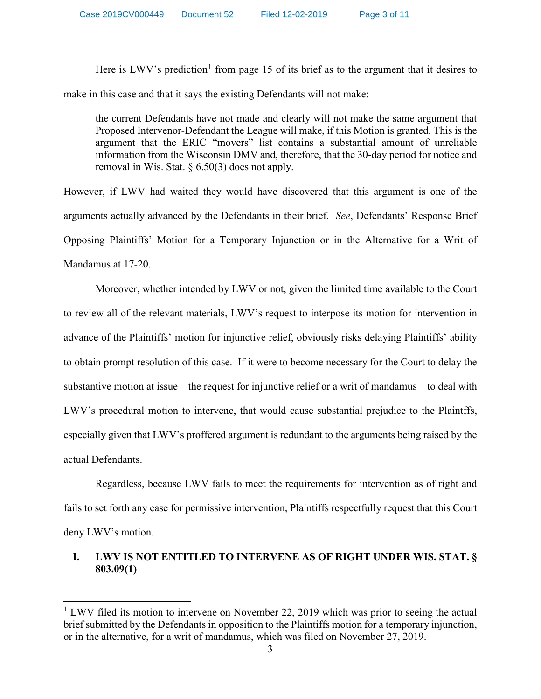Here is LWV's prediction<sup>[1](#page-2-0)</sup> from page 15 of its brief as to the argument that it desires to make in this case and that it says the existing Defendants will not make:

the current Defendants have not made and clearly will not make the same argument that Proposed Intervenor-Defendant the League will make, if this Motion is granted. This is the argument that the ERIC "movers" list contains a substantial amount of unreliable information from the Wisconsin DMV and, therefore, that the 30-day period for notice and removal in Wis. Stat. § 6.50(3) does not apply.

However, if LWV had waited they would have discovered that this argument is one of the arguments actually advanced by the Defendants in their brief. *See*, Defendants' Response Brief Opposing Plaintiffs' Motion for a Temporary Injunction or in the Alternative for a Writ of Mandamus at 17-20.

Moreover, whether intended by LWV or not, given the limited time available to the Court to review all of the relevant materials, LWV's request to interpose its motion for intervention in advance of the Plaintiffs' motion for injunctive relief, obviously risks delaying Plaintiffs' ability to obtain prompt resolution of this case. If it were to become necessary for the Court to delay the substantive motion at issue – the request for injunctive relief or a writ of mandamus – to deal with LWV's procedural motion to intervene, that would cause substantial prejudice to the Plaintffs, especially given that LWV's proffered argument is redundant to the arguments being raised by the actual Defendants.

Regardless, because LWV fails to meet the requirements for intervention as of right and fails to set forth any case for permissive intervention, Plaintiffs respectfully request that this Court deny LWV's motion.

# **I. LWV IS NOT ENTITLED TO INTERVENE AS OF RIGHT UNDER WIS. STAT. § 803.09(1)**

<span id="page-2-0"></span> $1$  LWV filed its motion to intervene on November 22, 2019 which was prior to seeing the actual brief submitted by the Defendants in opposition to the Plaintiffs motion for a temporary injunction, or in the alternative, for a writ of mandamus, which was filed on November 27, 2019.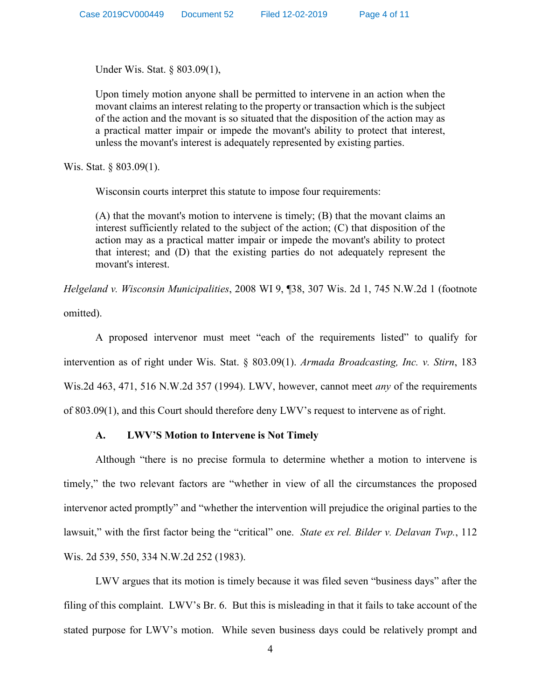Under Wis. Stat. § 803.09(1),

Upon timely motion anyone shall be permitted to intervene in an action when the movant claims an interest relating to the property or transaction which is the subject of the action and the movant is so situated that the disposition of the action may as a practical matter impair or impede the movant's ability to protect that interest, unless the movant's interest is adequately represented by existing parties.

Wis. Stat. § 803.09(1).

Wisconsin courts interpret this statute to impose four requirements:

(A) that the movant's motion to intervene is timely; (B) that the movant claims an interest sufficiently related to the subject of the action; (C) that disposition of the action may as a practical matter impair or impede the movant's ability to protect that interest; and (D) that the existing parties do not adequately represent the movant's interest.

*Helgeland v. Wisconsin Municipalities*, 2008 WI 9, ¶38, 307 Wis. 2d 1, 745 N.W.2d 1 (footnote omitted).

A proposed intervenor must meet "each of the requirements listed" to qualify for intervention as of right under Wis. Stat. § 803.09(1). *Armada Broadcasting, Inc. v. Stirn*, 183 Wis.2d 463, 471, 516 N.W.2d 357 (1994). LWV, however, cannot meet *any* of the requirements of 803.09(1), and this Court should therefore deny LWV's request to intervene as of right.

### **A. LWV'S Motion to Intervene is Not Timely**

Although "there is no precise formula to determine whether a motion to intervene is timely," the two relevant factors are "whether in view of all the circumstances the proposed intervenor acted promptly" and "whether the intervention will prejudice the original parties to the lawsuit," with the first factor being the "critical" one. *State ex rel. Bilder v. Delavan Twp.*, 112 Wis. 2d 539, 550, 334 N.W.2d 252 (1983).

LWV argues that its motion is timely because it was filed seven "business days" after the filing of this complaint. LWV's Br. 6. But this is misleading in that it fails to take account of the stated purpose for LWV's motion. While seven business days could be relatively prompt and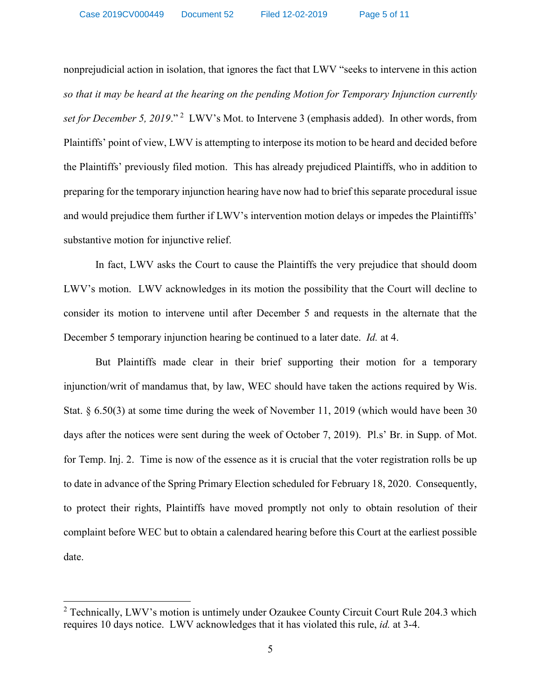nonprejudicial action in isolation, that ignores the fact that LWV "seeks to intervene in this action *so that it may be heard at the hearing on the pending Motion for Temporary Injunction currently*  set for December 5, [2](#page-4-0)019."<sup>2</sup> LWV's Mot. to Intervene 3 (emphasis added). In other words, from Plaintiffs' point of view, LWV is attempting to interpose its motion to be heard and decided before the Plaintiffs' previously filed motion. This has already prejudiced Plaintiffs, who in addition to preparing for the temporary injunction hearing have now had to brief this separate procedural issue and would prejudice them further if LWV's intervention motion delays or impedes the Plaintifffs' substantive motion for injunctive relief.

In fact, LWV asks the Court to cause the Plaintiffs the very prejudice that should doom LWV's motion. LWV acknowledges in its motion the possibility that the Court will decline to consider its motion to intervene until after December 5 and requests in the alternate that the December 5 temporary injunction hearing be continued to a later date. *Id.* at 4.

But Plaintiffs made clear in their brief supporting their motion for a temporary injunction/writ of mandamus that, by law, WEC should have taken the actions required by Wis. Stat. § 6.50(3) at some time during the week of November 11, 2019 (which would have been 30 days after the notices were sent during the week of October 7, 2019). Pl.s' Br. in Supp. of Mot. for Temp. Inj. 2. Time is now of the essence as it is crucial that the voter registration rolls be up to date in advance of the Spring Primary Election scheduled for February 18, 2020. Consequently, to protect their rights, Plaintiffs have moved promptly not only to obtain resolution of their complaint before WEC but to obtain a calendared hearing before this Court at the earliest possible date.

<span id="page-4-0"></span><sup>&</sup>lt;sup>2</sup> Technically, LWV's motion is untimely under Ozaukee County Circuit Court Rule 204.3 which requires 10 days notice. LWV acknowledges that it has violated this rule, *id.* at 3-4.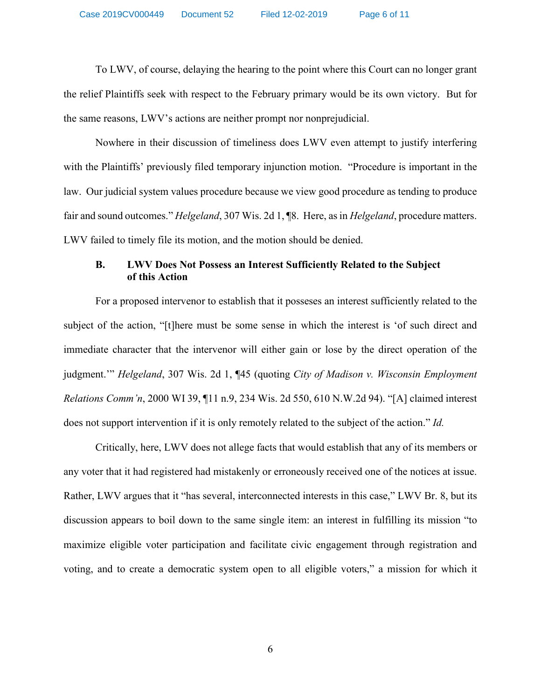To LWV, of course, delaying the hearing to the point where this Court can no longer grant the relief Plaintiffs seek with respect to the February primary would be its own victory. But for the same reasons, LWV's actions are neither prompt nor nonprejudicial.

Nowhere in their discussion of timeliness does LWV even attempt to justify interfering with the Plaintiffs' previously filed temporary injunction motion. "Procedure is important in the law. Our judicial system values procedure because we view good procedure as tending to produce fair and sound outcomes." *Helgeland*, 307 Wis. 2d 1, ¶8. Here, as in *Helgeland*, procedure matters. LWV failed to timely file its motion, and the motion should be denied.

## **B. LWV Does Not Possess an Interest Sufficiently Related to the Subject of this Action**

For a proposed intervenor to establish that it posseses an interest sufficiently related to the subject of the action, "[t]here must be some sense in which the interest is 'of such direct and immediate character that the intervenor will either gain or lose by the direct operation of the judgment.'" *Helgeland*, 307 Wis. 2d 1, ¶45 (quoting *City of Madison v. Wisconsin Employment Relations Comm'n*, 2000 WI 39, ¶11 n.9, 234 Wis. 2d 550, 610 N.W.2d 94). "[A] claimed interest does not support intervention if it is only remotely related to the subject of the action." *Id.*

Critically, here, LWV does not allege facts that would establish that any of its members or any voter that it had registered had mistakenly or erroneously received one of the notices at issue. Rather, LWV argues that it "has several, interconnected interests in this case," LWV Br. 8, but its discussion appears to boil down to the same single item: an interest in fulfilling its mission "to maximize eligible voter participation and facilitate civic engagement through registration and voting, and to create a democratic system open to all eligible voters," a mission for which it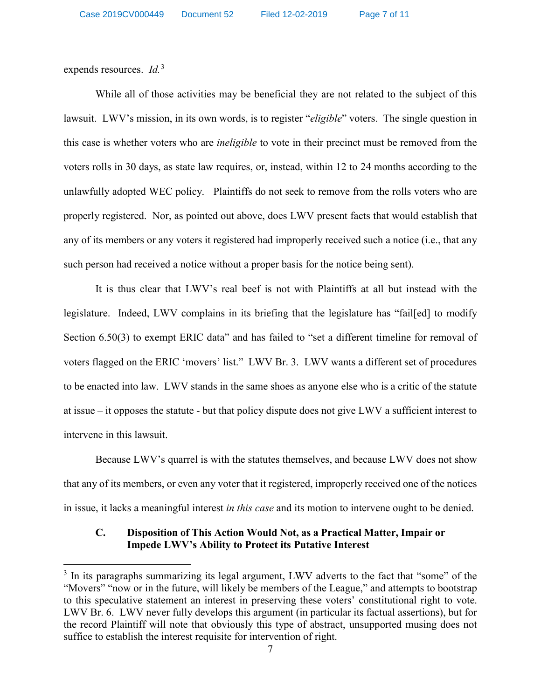expends resources. *Id.*<sup>[3](#page-6-0)</sup>

While all of those activities may be beneficial they are not related to the subject of this lawsuit. LWV's mission, in its own words, is to register "*eligible*" voters. The single question in this case is whether voters who are *ineligible* to vote in their precinct must be removed from the voters rolls in 30 days, as state law requires, or, instead, within 12 to 24 months according to the unlawfully adopted WEC policy. Plaintiffs do not seek to remove from the rolls voters who are properly registered. Nor, as pointed out above, does LWV present facts that would establish that any of its members or any voters it registered had improperly received such a notice (i.e., that any such person had received a notice without a proper basis for the notice being sent).

It is thus clear that LWV's real beef is not with Plaintiffs at all but instead with the legislature. Indeed, LWV complains in its briefing that the legislature has "fail[ed] to modify Section 6.50(3) to exempt ERIC data" and has failed to "set a different timeline for removal of voters flagged on the ERIC 'movers' list." LWV Br. 3. LWV wants a different set of procedures to be enacted into law. LWV stands in the same shoes as anyone else who is a critic of the statute at issue – it opposes the statute - but that policy dispute does not give LWV a sufficient interest to intervene in this lawsuit.

Because LWV's quarrel is with the statutes themselves, and because LWV does not show that any of its members, or even any voter that it registered, improperly received one of the notices in issue, it lacks a meaningful interest *in this case* and its motion to intervene ought to be denied.

### **C. Disposition of This Action Would Not, as a Practical Matter, Impair or Impede LWV's Ability to Protect its Putative Interest**

<span id="page-6-0"></span><sup>&</sup>lt;sup>3</sup> In its paragraphs summarizing its legal argument, LWV adverts to the fact that "some" of the "Movers" "now or in the future, will likely be members of the League," and attempts to bootstrap to this speculative statement an interest in preserving these voters' constitutional right to vote. LWV Br. 6. LWV never fully develops this argument (in particular its factual assertions), but for the record Plaintiff will note that obviously this type of abstract, unsupported musing does not suffice to establish the interest requisite for intervention of right.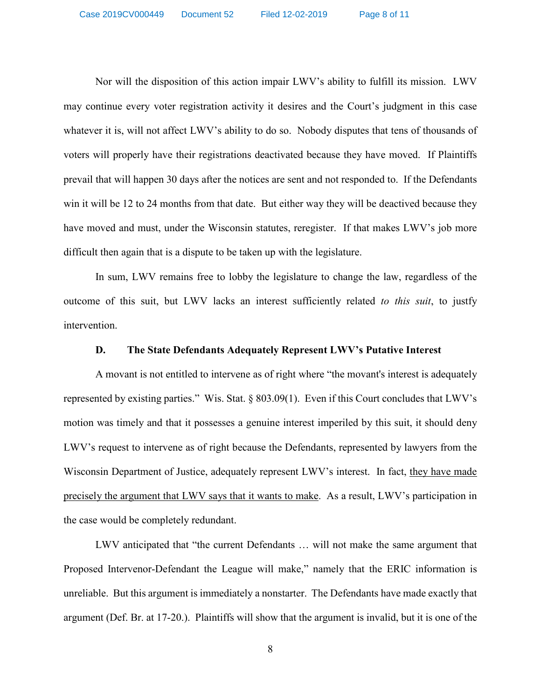Nor will the disposition of this action impair LWV's ability to fulfill its mission. LWV may continue every voter registration activity it desires and the Court's judgment in this case whatever it is, will not affect LWV's ability to do so. Nobody disputes that tens of thousands of voters will properly have their registrations deactivated because they have moved. If Plaintiffs prevail that will happen 30 days after the notices are sent and not responded to. If the Defendants win it will be 12 to 24 months from that date. But either way they will be deactived because they have moved and must, under the Wisconsin statutes, reregister. If that makes LWV's job more difficult then again that is a dispute to be taken up with the legislature.

In sum, LWV remains free to lobby the legislature to change the law, regardless of the outcome of this suit, but LWV lacks an interest sufficiently related *to this suit*, to justfy intervention.

#### **D. The State Defendants Adequately Represent LWV's Putative Interest**

A movant is not entitled to intervene as of right where "the movant's interest is adequately represented by existing parties." Wis. Stat. § 803.09(1). Even if this Court concludes that LWV's motion was timely and that it possesses a genuine interest imperiled by this suit, it should deny LWV's request to intervene as of right because the Defendants, represented by lawyers from the Wisconsin Department of Justice, adequately represent LWV's interest. In fact, they have made precisely the argument that LWV says that it wants to make. As a result, LWV's participation in the case would be completely redundant.

LWV anticipated that "the current Defendants … will not make the same argument that Proposed Intervenor-Defendant the League will make," namely that the ERIC information is unreliable. But this argument is immediately a nonstarter. The Defendants have made exactly that argument (Def. Br. at 17-20.). Plaintiffs will show that the argument is invalid, but it is one of the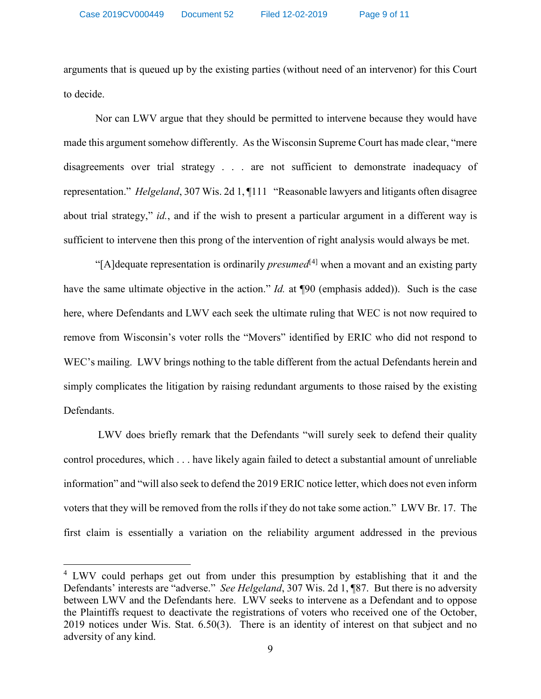arguments that is queued up by the existing parties (without need of an intervenor) for this Court to decide.

Nor can LWV argue that they should be permitted to intervene because they would have made this argument somehow differently. As the Wisconsin Supreme Court has made clear, "mere disagreements over trial strategy . . . are not sufficient to demonstrate inadequacy of representation." *Helgeland*, 307 Wis. 2d 1, ¶111 "Reasonable lawyers and litigants often disagree about trial strategy," *id.*, and if the wish to present a particular argument in a different way is sufficient to intervene then this prong of the intervention of right analysis would always be met.

"[A]dequate representation is ordinarily *presumed*[[4\]](#page-8-0) when a movant and an existing party have the same ultimate objective in the action." *Id.* at ¶90 (emphasis added)). Such is the case here, where Defendants and LWV each seek the ultimate ruling that WEC is not now required to remove from Wisconsin's voter rolls the "Movers" identified by ERIC who did not respond to WEC's mailing. LWV brings nothing to the table different from the actual Defendants herein and simply complicates the litigation by raising redundant arguments to those raised by the existing Defendants.

LWV does briefly remark that the Defendants "will surely seek to defend their quality control procedures, which . . . have likely again failed to detect a substantial amount of unreliable information" and "will also seek to defend the 2019 ERIC notice letter, which does not even inform voters that they will be removed from the rolls if they do not take some action." LWV Br. 17. The first claim is essentially a variation on the reliability argument addressed in the previous

<span id="page-8-0"></span><sup>&</sup>lt;sup>4</sup> LWV could perhaps get out from under this presumption by establishing that it and the Defendants' interests are "adverse." *See Helgeland*, 307 Wis. 2d 1, ¶87. But there is no adversity between LWV and the Defendants here. LWV seeks to intervene as a Defendant and to oppose the Plaintiffs request to deactivate the registrations of voters who received one of the October, 2019 notices under Wis. Stat. 6.50(3). There is an identity of interest on that subject and no adversity of any kind.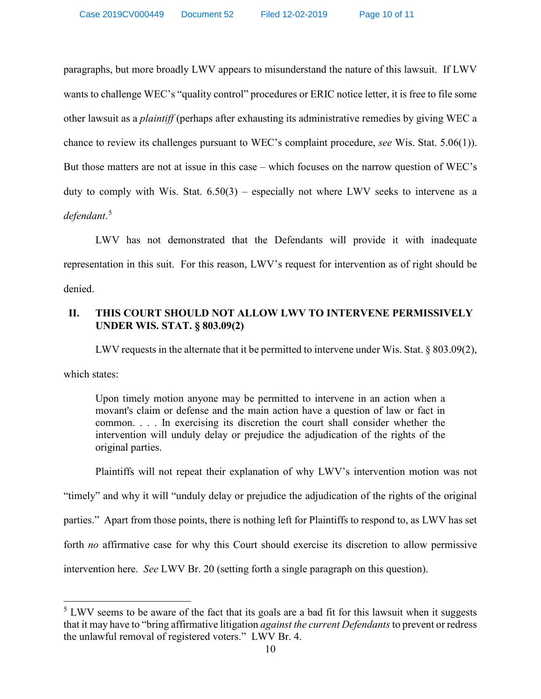paragraphs, but more broadly LWV appears to misunderstand the nature of this lawsuit. If LWV wants to challenge WEC's "quality control" procedures or ERIC notice letter, it is free to file some other lawsuit as a *plaintiff* (perhaps after exhausting its administrative remedies by giving WEC a chance to review its challenges pursuant to WEC's complaint procedure, *see* Wis. Stat. 5.06(1)). But those matters are not at issue in this case – which focuses on the narrow question of WEC's duty to comply with Wis. Stat. 6.50(3) – especially not where LWV seeks to intervene as a *defendant*. [5](#page-9-0)

LWV has not demonstrated that the Defendants will provide it with inadequate representation in this suit. For this reason, LWV's request for intervention as of right should be denied.

# **II. THIS COURT SHOULD NOT ALLOW LWV TO INTERVENE PERMISSIVELY UNDER WIS. STAT. § 803.09(2)**

LWV requests in the alternate that it be permitted to intervene under Wis. Stat. § 803.09(2),

which states:

Upon timely motion anyone may be permitted to intervene in an action when a movant's claim or defense and the main action have a question of law or fact in common. . . . In exercising its discretion the court shall consider whether the intervention will unduly delay or prejudice the adjudication of the rights of the original parties.

Plaintiffs will not repeat their explanation of why LWV's intervention motion was not

"timely" and why it will "unduly delay or prejudice the adjudication of the rights of the original parties." Apart from those points, there is nothing left for Plaintiffs to respond to, as LWV has set forth *no* affirmative case for why this Court should exercise its discretion to allow permissive

intervention here. *See* LWV Br. 20 (setting forth a single paragraph on this question).

<span id="page-9-0"></span> $5$  LWV seems to be aware of the fact that its goals are a bad fit for this lawsuit when it suggests that it may have to "bring affirmative litigation *against the current Defendants*to prevent or redress the unlawful removal of registered voters." LWV Br. 4.